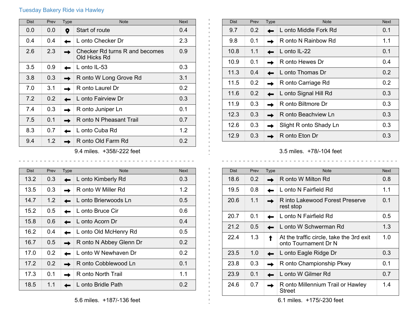## Tuesday Bakery Ride via Hawley

| <b>Dist</b>                | Prev | Type | <b>Note</b>                                    | <b>Next</b> |  |
|----------------------------|------|------|------------------------------------------------|-------------|--|
| 0.0                        | 0.0  | 9    | Start of route                                 | 0.4         |  |
| 0.4                        | 0.4  |      | L onto Checker Dr                              | 2.3         |  |
| 2.6                        | 2.3  |      | Checker Rd turns R and becomes<br>Old Hicks Rd | 0.9         |  |
| 3.5                        | 0.9  |      | L onto IL-53                                   | 0.3         |  |
| 3.8                        | 0.3  |      | R onto W Long Grove Rd                         | 3.1         |  |
| 7.0                        | 3.1  |      | R onto Laurel Dr                               | 0.2         |  |
| 7.2                        | 0.2  |      | L onto Fairview Dr                             | 0.3         |  |
| 7.4                        | 0.3  |      | R onto Juniper Ln                              | 0.1         |  |
| 7.5                        | 0.1  |      | R onto N Pheasant Trail                        | 0.7         |  |
| 8.3                        | 0.7  |      | L onto Cuba Rd                                 | 1.2         |  |
| 9.4                        | 1.2  |      | R onto Old Farm Rd                             | 0.2         |  |
| 9.4 miles.  +358/-222 feet |      |      |                                                |             |  |

| <b>Dist</b> | Prev | <b>Type</b> | <b>Note</b>             | <b>Next</b>   |
|-------------|------|-------------|-------------------------|---------------|
| 13.2        | 0.3  |             | L onto Kimberly Rd      | 0.3           |
| 13.5        | 0.3  |             | R onto W Miller Rd      | 1.2           |
| 14.7        | 1.2  |             | L onto Brierwoods Ln    | $0.5^{\circ}$ |
| 15.2        | 0.5  |             | L onto Bruce Cir        | 0.6           |
| 15.8        | 0.6  |             | L onto Acorn Dr         | 0.4           |
| 16.2        | 0.4  |             | L onto Old McHenry Rd   | $0.5^{\circ}$ |
| 16.7        | 0.5  |             | R onto N Abbey Glenn Dr | 0.2           |
| 17.0        | 0.2  |             | L onto W Newhaven Dr    | 0.2           |
| 17.2        | 0.2  |             | R onto Cobblewood Ln    | 0.1           |
| 17.3        | 0.1  |             | R onto North Trail      | 1.1           |
| 18.5        | 1.1  |             | L onto Bridle Path      | 0.2           |

| <b>Dist</b> | Prev | Type | <b>Note</b>            | <b>Next</b>   |
|-------------|------|------|------------------------|---------------|
| 9.7         | 0.2  |      | L onto Middle Fork Rd  | 0.1           |
| 9.8         | 0.1  |      | R onto N Rainbow Rd    | 1.1           |
| 10.8        | 1.1  |      | L onto IL-22           | 0.1           |
| 10.9        | 0.1  |      | R onto Hewes Dr        | 0.4           |
| 11.3        | 0.4  |      | L onto Thomas Dr       | $0.2^{\circ}$ |
| 11.5        | 0.2  |      | R onto Carriage Rd     | 0.2           |
| 11.6        | 0.2  |      | L onto Signal Hill Rd  | 0.3           |
| 11.9        | 0.3  |      | R onto Biltmore Dr     | 0.3           |
| 12.3        | 0.3  |      | R onto Beachview Ln    | 0.3           |
| 12.6        | 0.3  |      | Slight R onto Shady Ln | 0.3           |
| 12.9        | 0.3  |      | R onto Eton Dr         | 0.3           |
|             |      |      |                        |               |

3.5 miles. +78/-104 feet

| <b>Dist</b> | Prev | <b>Type</b> | <b>Note</b>                                                      | <b>Next</b> |
|-------------|------|-------------|------------------------------------------------------------------|-------------|
| 18.6        | 0.2  |             | R onto W Milton Rd                                               | 0.8         |
| 19.5        | 0.8  |             | L onto N Fairfield Rd                                            | 1.1         |
| 20.6        | 1.1  |             | R into Lakewood Forest Preserve<br>rest stop                     | 0.1         |
| 20.7        | 0.1  |             | L onto N Fairfield Rd                                            | 0.5         |
| 21.2        | 0.5  |             | L onto W Schwerman Rd                                            | 1.3         |
| 22.4        | 1.3  |             | At the traffic circle, take the 3rd exit<br>onto Tournament Dr N | 1.0         |
| 23.5        | 1.0  |             | L onto Eagle Ridge Dr                                            | 0.3         |
| 23.8        | 0.3  |             | R onto Championship Pkwy                                         | 0.1         |
| 23.9        | 0.1  |             | L onto W Gilmer Rd                                               | 0.7         |
| 24.6        | 0.7  |             | R onto Millennium Trail or Hawley<br><b>Street</b>               | 1.4         |